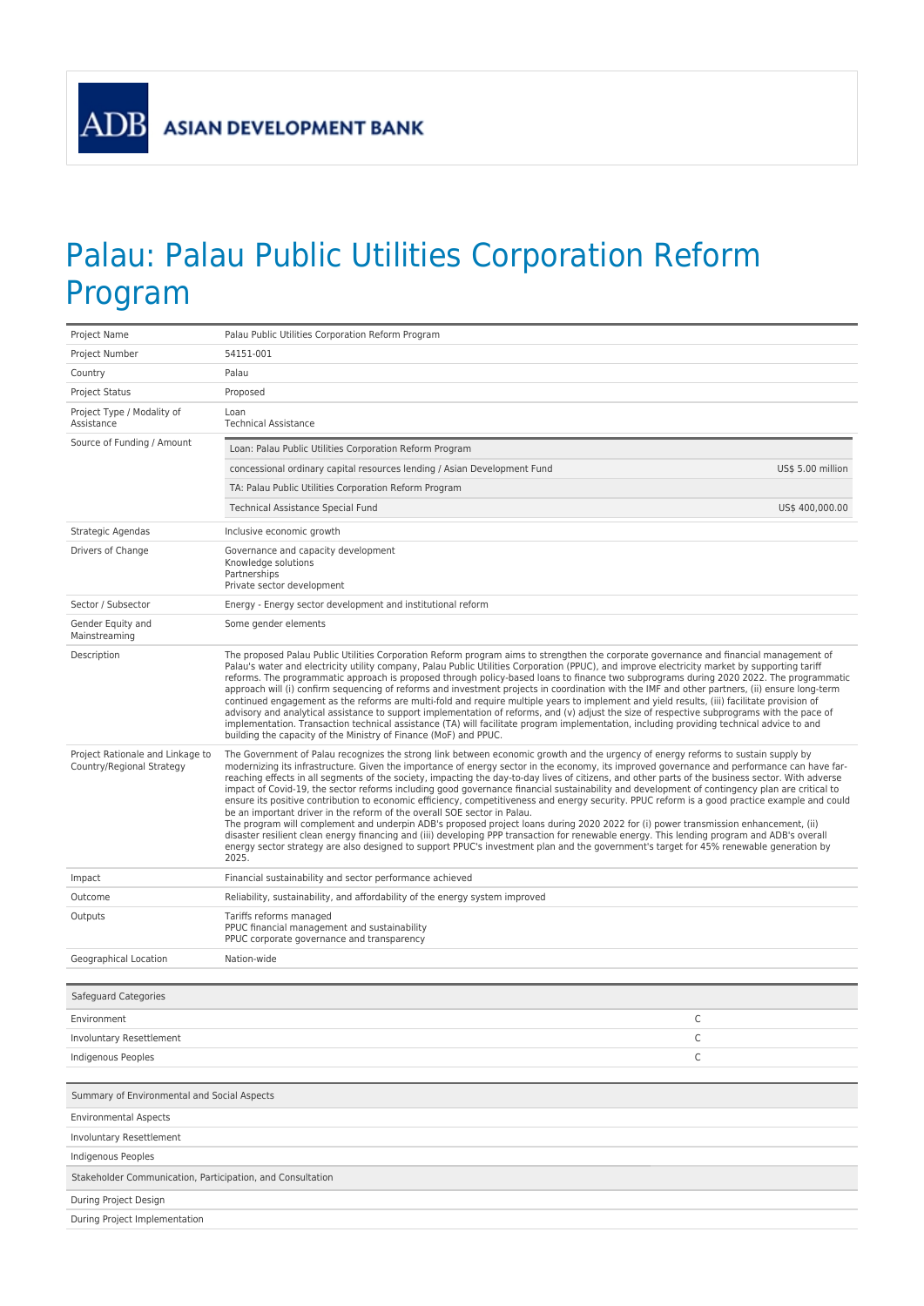## Palau: Palau Public Utilities Corporation Reform Program

| Project Name                                                                | Palau Public Utilities Corporation Reform Program                                                                                                                                                                                                                                                                                                                                                                                                                                                                                                                                                                                                                                                                                                                                                                                                                                                                                                                                                                                                                                                                                                                                                                                                             |  |  |
|-----------------------------------------------------------------------------|---------------------------------------------------------------------------------------------------------------------------------------------------------------------------------------------------------------------------------------------------------------------------------------------------------------------------------------------------------------------------------------------------------------------------------------------------------------------------------------------------------------------------------------------------------------------------------------------------------------------------------------------------------------------------------------------------------------------------------------------------------------------------------------------------------------------------------------------------------------------------------------------------------------------------------------------------------------------------------------------------------------------------------------------------------------------------------------------------------------------------------------------------------------------------------------------------------------------------------------------------------------|--|--|
| Project Number                                                              | 54151-001                                                                                                                                                                                                                                                                                                                                                                                                                                                                                                                                                                                                                                                                                                                                                                                                                                                                                                                                                                                                                                                                                                                                                                                                                                                     |  |  |
| Country                                                                     | Palau                                                                                                                                                                                                                                                                                                                                                                                                                                                                                                                                                                                                                                                                                                                                                                                                                                                                                                                                                                                                                                                                                                                                                                                                                                                         |  |  |
| Project Status                                                              | Proposed                                                                                                                                                                                                                                                                                                                                                                                                                                                                                                                                                                                                                                                                                                                                                                                                                                                                                                                                                                                                                                                                                                                                                                                                                                                      |  |  |
| Project Type / Modality of<br>Assistance                                    | Loan<br><b>Technical Assistance</b>                                                                                                                                                                                                                                                                                                                                                                                                                                                                                                                                                                                                                                                                                                                                                                                                                                                                                                                                                                                                                                                                                                                                                                                                                           |  |  |
| Source of Funding / Amount                                                  | Loan: Palau Public Utilities Corporation Reform Program                                                                                                                                                                                                                                                                                                                                                                                                                                                                                                                                                                                                                                                                                                                                                                                                                                                                                                                                                                                                                                                                                                                                                                                                       |  |  |
|                                                                             | concessional ordinary capital resources lending / Asian Development Fund<br>US\$ 5.00 million                                                                                                                                                                                                                                                                                                                                                                                                                                                                                                                                                                                                                                                                                                                                                                                                                                                                                                                                                                                                                                                                                                                                                                 |  |  |
|                                                                             | TA: Palau Public Utilities Corporation Reform Program                                                                                                                                                                                                                                                                                                                                                                                                                                                                                                                                                                                                                                                                                                                                                                                                                                                                                                                                                                                                                                                                                                                                                                                                         |  |  |
|                                                                             | US\$ 400,000.00<br>Technical Assistance Special Fund                                                                                                                                                                                                                                                                                                                                                                                                                                                                                                                                                                                                                                                                                                                                                                                                                                                                                                                                                                                                                                                                                                                                                                                                          |  |  |
| Strategic Agendas                                                           | Inclusive economic growth                                                                                                                                                                                                                                                                                                                                                                                                                                                                                                                                                                                                                                                                                                                                                                                                                                                                                                                                                                                                                                                                                                                                                                                                                                     |  |  |
| Drivers of Change                                                           | Governance and capacity development<br>Knowledge solutions<br>Partnerships<br>Private sector development                                                                                                                                                                                                                                                                                                                                                                                                                                                                                                                                                                                                                                                                                                                                                                                                                                                                                                                                                                                                                                                                                                                                                      |  |  |
| Sector / Subsector                                                          | Energy - Energy sector development and institutional reform                                                                                                                                                                                                                                                                                                                                                                                                                                                                                                                                                                                                                                                                                                                                                                                                                                                                                                                                                                                                                                                                                                                                                                                                   |  |  |
| Gender Equity and<br>Mainstreaming                                          | Some gender elements                                                                                                                                                                                                                                                                                                                                                                                                                                                                                                                                                                                                                                                                                                                                                                                                                                                                                                                                                                                                                                                                                                                                                                                                                                          |  |  |
| Description                                                                 | The proposed Palau Public Utilities Corporation Reform program aims to strengthen the corporate governance and financial management of<br>Palau's water and electricity utility company, Palau Public Utilities Corporation (PPUC), and improve electricity market by supporting tariff<br>reforms. The programmatic approach is proposed through policy-based loans to finance two subprograms during 2020 2022. The programmatic<br>approach will (i) confirm sequencing of reforms and investment projects in coordination with the IMF and other partners, (ii) ensure long-term<br>continued engagement as the reforms are multi-fold and require multiple years to implement and yield results, (iii) facilitate provision of<br>advisory and analytical assistance to support implementation of reforms, and (v) adjust the size of respective subprograms with the pace of<br>implementation. Transaction technical assistance (TA) will facilitate program implementation, including providing technical advice to and<br>building the capacity of the Ministry of Finance (MoF) and PPUC.                                                                                                                                                           |  |  |
| Project Rationale and Linkage to<br>Country/Regional Strategy               | The Government of Palau recognizes the strong link between economic growth and the urgency of energy reforms to sustain supply by<br>modernizing its infrastructure. Given the importance of energy sector in the economy, its improved governance and performance can have far-<br>reaching effects in all segments of the society, impacting the day-to-day lives of citizens, and other parts of the business sector. With adverse<br>impact of Covid-19, the sector reforms including good governance financial sustainability and development of contingency plan are critical to<br>ensure its positive contribution to economic efficiency, competitiveness and energy security. PPUC reform is a good practice example and could<br>be an important driver in the reform of the overall SOE sector in Palau.<br>The program will complement and underpin ADB's proposed project loans during 2020 2022 for (i) power transmission enhancement, (ii)<br>disaster resilient clean energy financing and (iii) developing PPP transaction for renewable energy. This lending program and ADB's overall<br>energy sector strategy are also designed to support PPUC's investment plan and the government's target for 45% renewable generation by<br>2025. |  |  |
| Impact                                                                      | Financial sustainability and sector performance achieved                                                                                                                                                                                                                                                                                                                                                                                                                                                                                                                                                                                                                                                                                                                                                                                                                                                                                                                                                                                                                                                                                                                                                                                                      |  |  |
| Outcome                                                                     | Reliability, sustainability, and affordability of the energy system improved                                                                                                                                                                                                                                                                                                                                                                                                                                                                                                                                                                                                                                                                                                                                                                                                                                                                                                                                                                                                                                                                                                                                                                                  |  |  |
| Outputs                                                                     | Tariffs reforms managed<br>PPUC financial management and sustainability<br>PPUC corporate governance and transparency                                                                                                                                                                                                                                                                                                                                                                                                                                                                                                                                                                                                                                                                                                                                                                                                                                                                                                                                                                                                                                                                                                                                         |  |  |
| Geographical Location                                                       | Nation-wide                                                                                                                                                                                                                                                                                                                                                                                                                                                                                                                                                                                                                                                                                                                                                                                                                                                                                                                                                                                                                                                                                                                                                                                                                                                   |  |  |
| Safeguard Categories                                                        |                                                                                                                                                                                                                                                                                                                                                                                                                                                                                                                                                                                                                                                                                                                                                                                                                                                                                                                                                                                                                                                                                                                                                                                                                                                               |  |  |
| Environment                                                                 | С                                                                                                                                                                                                                                                                                                                                                                                                                                                                                                                                                                                                                                                                                                                                                                                                                                                                                                                                                                                                                                                                                                                                                                                                                                                             |  |  |
| Involuntary Resettlement                                                    | С                                                                                                                                                                                                                                                                                                                                                                                                                                                                                                                                                                                                                                                                                                                                                                                                                                                                                                                                                                                                                                                                                                                                                                                                                                                             |  |  |
| Indigenous Peoples                                                          | С                                                                                                                                                                                                                                                                                                                                                                                                                                                                                                                                                                                                                                                                                                                                                                                                                                                                                                                                                                                                                                                                                                                                                                                                                                                             |  |  |
|                                                                             |                                                                                                                                                                                                                                                                                                                                                                                                                                                                                                                                                                                                                                                                                                                                                                                                                                                                                                                                                                                                                                                                                                                                                                                                                                                               |  |  |
| Summary of Environmental and Social Aspects<br><b>Environmental Aspects</b> |                                                                                                                                                                                                                                                                                                                                                                                                                                                                                                                                                                                                                                                                                                                                                                                                                                                                                                                                                                                                                                                                                                                                                                                                                                                               |  |  |
| Involuntary Resettlement                                                    |                                                                                                                                                                                                                                                                                                                                                                                                                                                                                                                                                                                                                                                                                                                                                                                                                                                                                                                                                                                                                                                                                                                                                                                                                                                               |  |  |
| Indigenous Peoples                                                          |                                                                                                                                                                                                                                                                                                                                                                                                                                                                                                                                                                                                                                                                                                                                                                                                                                                                                                                                                                                                                                                                                                                                                                                                                                                               |  |  |
| Stakeholder Communication, Participation, and Consultation                  |                                                                                                                                                                                                                                                                                                                                                                                                                                                                                                                                                                                                                                                                                                                                                                                                                                                                                                                                                                                                                                                                                                                                                                                                                                                               |  |  |
| During Project Design                                                       |                                                                                                                                                                                                                                                                                                                                                                                                                                                                                                                                                                                                                                                                                                                                                                                                                                                                                                                                                                                                                                                                                                                                                                                                                                                               |  |  |
| During Project Implementation                                               |                                                                                                                                                                                                                                                                                                                                                                                                                                                                                                                                                                                                                                                                                                                                                                                                                                                                                                                                                                                                                                                                                                                                                                                                                                                               |  |  |